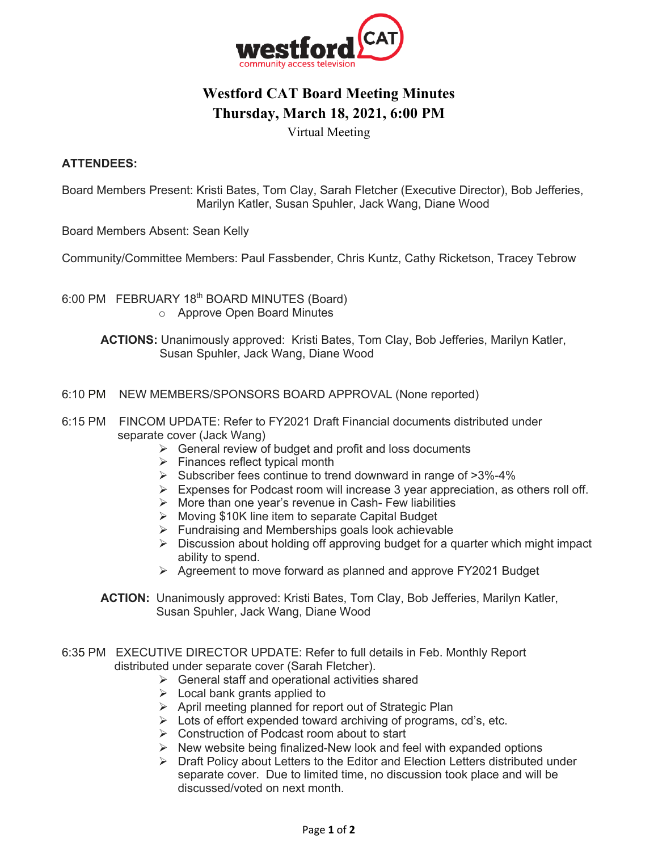

## **Westford CAT Board Meeting Minutes Thursday, March 18, 2021, 6:00 PM**

Virtual Meeting

## **ATTENDEES:**

Board Members Present: Kristi Bates, Tom Clay, Sarah Fletcher (Executive Director), Bob Jefferies, Marilyn Katler, Susan Spuhler, Jack Wang, Diane Wood

Board Members Absent: Sean Kelly

Community/Committee Members: Paul Fassbender, Chris Kuntz, Cathy Ricketson, Tracey Tebrow

6:00 PM FEBRUARY 18<sup>th</sup> BOARD MINUTES (Board) o Approve Open Board Minutes

> **ACTIONS:** Unanimously approved: Kristi Bates, Tom Clay, Bob Jefferies, Marilyn Katler, Susan Spuhler, Jack Wang, Diane Wood

- 6:10 PM NEW MEMBERS/SPONSORS BOARD APPROVAL (None reported)
- 6:15 PM FINCOM UPDATE: Refer to FY2021 Draft Financial documents distributed under separate cover (Jack Wang)
	- $\triangleright$  General review of budget and profit and loss documents
	- $\triangleright$  Finances reflect typical month
	- $\triangleright$  Subscriber fees continue to trend downward in range of  $>3\% 4\%$
	- $\triangleright$  Expenses for Podcast room will increase 3 year appreciation, as others roll off.
	- $\triangleright$  More than one year's revenue in Cash- Few liabilities
	- Ø Moving \$10K line item to separate Capital Budget
	- $\triangleright$  Fundraising and Memberships goals look achievable
	- $\triangleright$  Discussion about holding off approving budget for a quarter which might impact ability to spend.
	- $\triangleright$  Agreement to move forward as planned and approve FY2021 Budget
	- **ACTION:** Unanimously approved: Kristi Bates, Tom Clay, Bob Jefferies, Marilyn Katler, Susan Spuhler, Jack Wang, Diane Wood
- 6:35 PM EXECUTIVE DIRECTOR UPDATE: Refer to full details in Feb. Monthly Report distributed under separate cover (Sarah Fletcher).
	- $\triangleright$  General staff and operational activities shared
	- $\triangleright$  Local bank grants applied to
	- $\triangleright$  April meeting planned for report out of Strategic Plan
	- $\triangleright$  Lots of effort expended toward archiving of programs, cd's, etc.
	- $\triangleright$  Construction of Podcast room about to start
	- $\triangleright$  New website being finalized-New look and feel with expanded options
	- $\triangleright$  Draft Policy about Letters to the Editor and Election Letters distributed under separate cover. Due to limited time, no discussion took place and will be discussed/voted on next month.